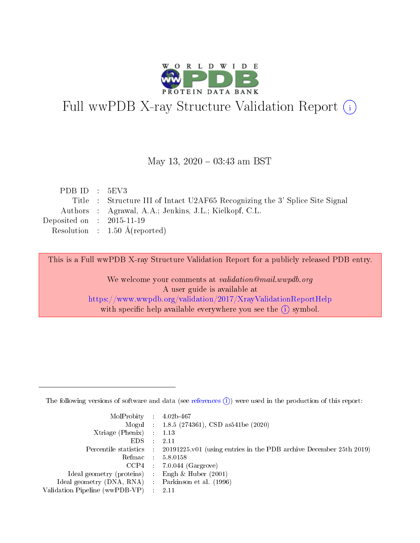

# Full wwPDB X-ray Structure Validation Report (i)

#### May 13,  $2020 - 03:43$  am BST

| PDBID : 5EV3                         |                                                                              |
|--------------------------------------|------------------------------------------------------------------------------|
|                                      | Title : Structure III of Intact U2AF65 Recognizing the 3' Splice Site Signal |
|                                      | Authors : Agrawal, A.A.; Jenkins, J.L.; Kielkopf, C.L.                       |
| Deposited on $\therefore$ 2015-11-19 |                                                                              |
|                                      | Resolution : $1.50 \text{ Å}$ (reported)                                     |
|                                      |                                                                              |

This is a Full wwPDB X-ray Structure Validation Report for a publicly released PDB entry.

We welcome your comments at validation@mail.wwpdb.org A user guide is available at <https://www.wwpdb.org/validation/2017/XrayValidationReportHelp> with specific help available everywhere you see the  $(i)$  symbol.

The following versions of software and data (see [references](https://www.wwpdb.org/validation/2017/XrayValidationReportHelp#references)  $(1)$ ) were used in the production of this report:

| MolProbity : $4.02b-467$                            |                                                                                            |
|-----------------------------------------------------|--------------------------------------------------------------------------------------------|
|                                                     | Mogul : $1.8.5$ (274361), CSD as 541be (2020)                                              |
| $Xtriangle (Phenix)$ : 1.13                         |                                                                                            |
| $EDS$ :                                             | -2.11                                                                                      |
|                                                     | Percentile statistics : 20191225.v01 (using entries in the PDB archive December 25th 2019) |
| Refmac : 5.8.0158                                   |                                                                                            |
|                                                     | $CCP4$ 7.0.044 (Gargrove)                                                                  |
| Ideal geometry (proteins) : Engh $\&$ Huber (2001)  |                                                                                            |
| Ideal geometry (DNA, RNA) : Parkinson et al. (1996) |                                                                                            |
| Validation Pipeline (wwPDB-VP) : 2.11               |                                                                                            |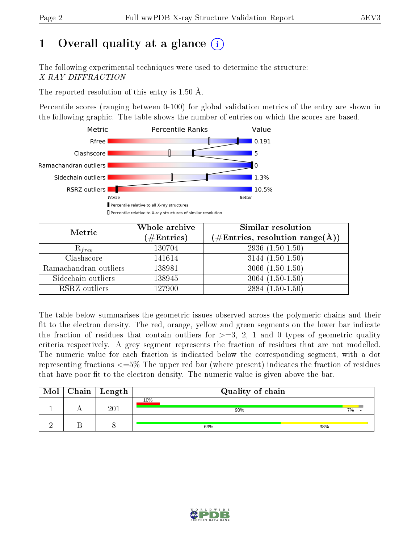# 1 [O](https://www.wwpdb.org/validation/2017/XrayValidationReportHelp#overall_quality)verall quality at a glance  $(i)$

The following experimental techniques were used to determine the structure: X-RAY DIFFRACTION

The reported resolution of this entry is 1.50 Å.

Percentile scores (ranging between 0-100) for global validation metrics of the entry are shown in the following graphic. The table shows the number of entries on which the scores are based.



| Metric                | Whole archive<br>$(\#\text{Entries})$ | Similar resolution<br>$(\#\text{Entries},\,\text{resolution}\,\,\text{range}(\textup{\AA}))$ |  |  |
|-----------------------|---------------------------------------|----------------------------------------------------------------------------------------------|--|--|
| $R_{free}$            | 130704                                | $2936(1.50-1.50)$                                                                            |  |  |
| Clashscore            | 141614                                | $3144(1.50-1.50)$                                                                            |  |  |
| Ramachandran outliers | 138981                                | $3066(1.50-1.50)$                                                                            |  |  |
| Sidechain outliers    | 138945                                | $3064(1.50-1.50)$                                                                            |  |  |
| RSRZ outliers         | 127900                                | $2884(1.50-1.50)$                                                                            |  |  |

The table below summarises the geometric issues observed across the polymeric chains and their fit to the electron density. The red, orange, yellow and green segments on the lower bar indicate the fraction of residues that contain outliers for  $>=$  3, 2, 1 and 0 types of geometric quality criteria respectively. A grey segment represents the fraction of residues that are not modelled. The numeric value for each fraction is indicated below the corresponding segment, with a dot representing fractions  $\epsilon=5\%$  The upper red bar (where present) indicates the fraction of residues that have poor fit to the electron density. The numeric value is given above the bar.

| Mol | Chain   Length | Quality of chain |    |  |  |  |  |
|-----|----------------|------------------|----|--|--|--|--|
|     | 201            | 10%<br>90%       | 7% |  |  |  |  |
|     |                | 38%<br>63%       |    |  |  |  |  |

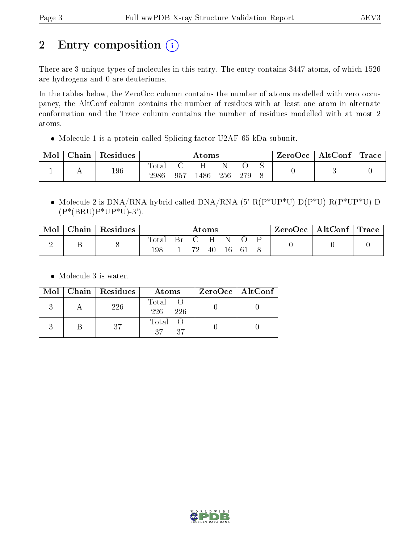# 2 Entry composition (i)

There are 3 unique types of molecules in this entry. The entry contains 3447 atoms, of which 1526 are hydrogens and 0 are deuteriums.

In the tables below, the ZeroOcc column contains the number of atoms modelled with zero occupancy, the AltConf column contains the number of residues with at least one atom in alternate conformation and the Trace column contains the number of residues modelled with at most 2 atoms.

Molecule 1 is a protein called Splicing factor U2AF 65 kDa subunit.

| Mol | Chain      | Residues | Atoms                  |     |      |     |     | ZeroOcc | $\mid$ AltConf $\mid$ Trace $\mid$ |  |  |
|-----|------------|----------|------------------------|-----|------|-----|-----|---------|------------------------------------|--|--|
|     | <u>. .</u> | 196      | $_{\rm Total}$<br>2986 | 957 | .486 | 256 | 279 |         |                                    |  |  |

• Molecule 2 is  $DNA/RNA$  hybrid called  $DNA/RNA$  (5'-R(P\*UP\*U)-D(P\*U)-R(P\*UP\*U)-D  $(P*(BRU)P*UP*U)-3')$ .

| Mol | Chain | Residues | Atoms        |  |  |     |      | $ZeroOcc \mid AltConf \mid Trace$ |  |  |  |
|-----|-------|----------|--------------|--|--|-----|------|-----------------------------------|--|--|--|
|     |       |          | Total<br>198 |  |  | -40 | - 16 | -61                               |  |  |  |

• Molecule 3 is water.

|  | Mol   Chain   Residues | Atoms                 | $ZeroOcc \   \ AtConf \  $ |
|--|------------------------|-----------------------|----------------------------|
|  | 226                    | Total O<br>226<br>226 |                            |
|  | -37                    | Total O<br>37<br>37   |                            |

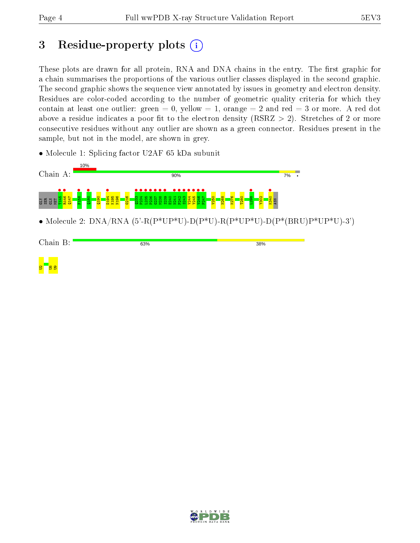# 3 Residue-property plots  $(i)$

These plots are drawn for all protein, RNA and DNA chains in the entry. The first graphic for a chain summarises the proportions of the various outlier classes displayed in the second graphic. The second graphic shows the sequence view annotated by issues in geometry and electron density. Residues are color-coded according to the number of geometric quality criteria for which they contain at least one outlier: green  $= 0$ , yellow  $= 1$ , orange  $= 2$  and red  $= 3$  or more. A red dot above a residue indicates a poor fit to the electron density (RSRZ  $> 2$ ). Stretches of 2 or more consecutive residues without any outlier are shown as a green connector. Residues present in the sample, but not in the model, are shown in grey.

• Molecule 1: Splicing factor U2AF 65 kDa subunit



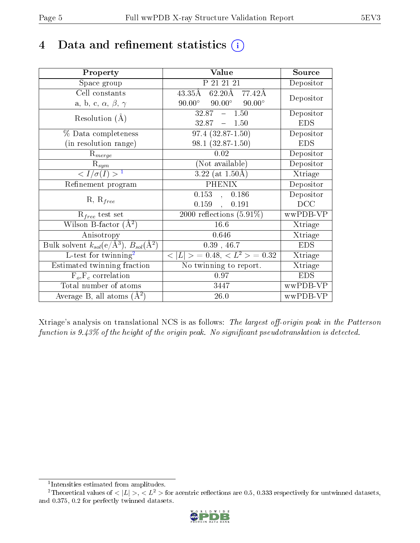# 4 Data and refinement statistics  $(i)$

| Property                                                                 | Value                                             | Source     |
|--------------------------------------------------------------------------|---------------------------------------------------|------------|
| Space group                                                              | P 21 21 21                                        | Depositor  |
| Cell constants                                                           | 62.20Å 77.42Å<br>43.35Å                           | Depositor  |
| a, b, c, $\alpha$ , $\beta$ , $\gamma$                                   | $90.00^{\circ}$<br>$90.00^\circ$<br>$90.00^\circ$ |            |
| Resolution $(A)$                                                         | $32.87 - 1.50$                                    | Depositor  |
|                                                                          | $32.87 - 1.50$                                    | <b>EDS</b> |
| % Data completeness                                                      | $\overline{97.4 (32.87-1.50)}$                    | Depositor  |
| (in resolution range)                                                    | $98.1 (32.87 - 1.50)$                             | <b>EDS</b> |
| $R_{merge}$                                                              | 0.02                                              | Depositor  |
| $\mathrm{R}_{sym}$                                                       | (Not available)                                   | Depositor  |
| $\langle I/\sigma(I) \rangle^{-1}$                                       | 3.22 (at $1.50\text{\AA}$ )                       | Xtriage    |
| Refinement program                                                       | <b>PHENIX</b>                                     | Depositor  |
| $R, R_{free}$                                                            | $0.153$ , $0.186$                                 | Depositor  |
|                                                                          | 0.159,<br>0.191                                   | DCC        |
| $\mathcal{R}_{free}$ test set                                            | 2000 reflections $(5.91\%)$                       | wwPDB-VP   |
| Wilson B-factor $(A^2)$                                                  | 16.6                                              | Xtriage    |
| Anisotropy                                                               | 0.646                                             | Xtriage    |
| Bulk solvent $k_{sol}(\mathrm{e}/\mathrm{A}^3),$ $B_{sol}(\mathrm{A}^2)$ | 0.39, 46.7                                        | <b>EDS</b> |
| L-test for twinning <sup>2</sup>                                         | $< L >$ = 0.48, $< L^2 >$ = 0.32                  | Xtriage    |
| Estimated twinning fraction                                              | $\overline{\text{No}}$ twinning to report.        | Xtriage    |
| $F_o, F_c$ correlation                                                   | 0.97                                              | <b>EDS</b> |
| Total number of atoms                                                    | 3447                                              | wwPDB-VP   |
| Average B, all atoms $(A^2)$                                             | 26.0                                              | wwPDB-VP   |

Xtriage's analysis on translational NCS is as follows: The largest off-origin peak in the Patterson function is  $9.43\%$  of the height of the origin peak. No significant pseudotranslation is detected.

<sup>&</sup>lt;sup>2</sup>Theoretical values of  $\langle |L| \rangle$ ,  $\langle L^2 \rangle$  for acentric reflections are 0.5, 0.333 respectively for untwinned datasets, and 0.375, 0.2 for perfectly twinned datasets.



<span id="page-4-1"></span><span id="page-4-0"></span><sup>1</sup> Intensities estimated from amplitudes.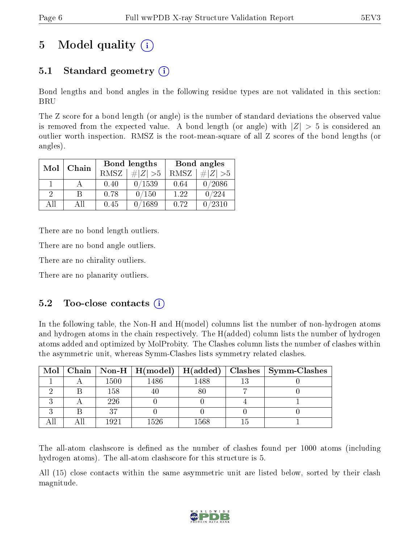# 5 Model quality  $(i)$

## 5.1 Standard geometry  $(i)$

Bond lengths and bond angles in the following residue types are not validated in this section: BRU

The Z score for a bond length (or angle) is the number of standard deviations the observed value is removed from the expected value. A bond length (or angle) with  $|Z| > 5$  is considered an outlier worth inspection. RMSZ is the root-mean-square of all Z scores of the bond lengths (or angles).

| Mol           | Chain |      | <b>Bond lengths</b> | Bond angles |             |  |
|---------------|-------|------|---------------------|-------------|-------------|--|
|               |       | RMSZ | $\# Z  > 5$         | RMSZ        | $\ Z\  > 5$ |  |
|               |       | 0.40 | 0/1539              | 0.64        | 0/2086      |  |
| $\mathcal{D}$ | R     | 0.78 | 0/150               | 1.22        | 0/224       |  |
| AΠ            | A 11  | 0.45 | $^{\prime}1689$     | 0.72        | 0/2310      |  |

There are no bond length outliers.

There are no bond angle outliers.

There are no chirality outliers.

There are no planarity outliers.

### $5.2$  Too-close contacts  $(i)$

In the following table, the Non-H and H(model) columns list the number of non-hydrogen atoms and hydrogen atoms in the chain respectively. The H(added) column lists the number of hydrogen atoms added and optimized by MolProbity. The Clashes column lists the number of clashes within the asymmetric unit, whereas Symm-Clashes lists symmetry related clashes.

| Mol |      | Chain   Non-H   $H (model)$   $H (added)$ |      | Clashes   Symm-Clashes |
|-----|------|-------------------------------------------|------|------------------------|
|     | 1500 | 1486                                      | 1488 |                        |
|     | 158  |                                           |      |                        |
|     | 226  |                                           |      |                        |
|     |      |                                           |      |                        |
|     | 1921 | 1526                                      | 1568 |                        |

The all-atom clashscore is defined as the number of clashes found per 1000 atoms (including hydrogen atoms). The all-atom clashscore for this structure is 5.

All (15) close contacts within the same asymmetric unit are listed below, sorted by their clash magnitude.

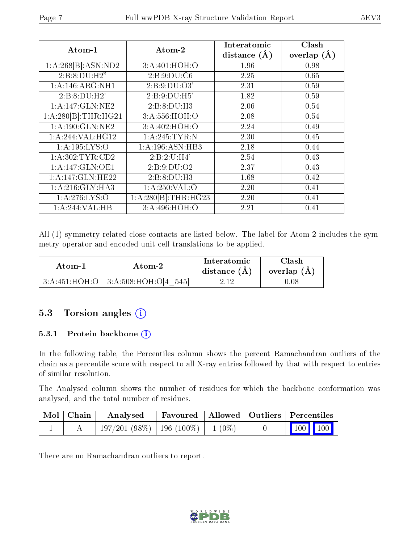| Atom-1              | Atom-2                       | Interatomic    | Clash         |
|---------------------|------------------------------|----------------|---------------|
|                     |                              | distance $(A)$ | overlap $(A)$ |
| 1:A:268[B]:ASN:ND2  | 3:A:401:HOH:O                | 1.96           | 0.98          |
| 2:B:8:DU:H2"        | 2: B:9:DU:C6                 | 2.25           | 0.65          |
| 1: A:146: ARG: NH1  | 2: B:9:DU:O3'                | 2.31           | 0.59          |
| 2:B:8:DU:H2'        | 2:B:9:DU:H5'                 | 1.82           | 0.59          |
| 1:A:147:GLN:NE2     | 2:B:8:DU:H3                  | 2.06           | 0.54          |
| 1:A:280[B]:THR:HG21 | 3:A:556:HOH:O                | 2.08           | 0.54          |
| 1:A:190:GLN:NE2     | 3:A:402:HOH:O                | 2.24           | 0.49          |
| 1:A:244:VAL:HG12    | 1: A:245:TYR:N               | 2.30           | 0.45          |
| 1: A: 195: LYS: O   | $1:A:196:ASN:\overline{HB3}$ | 2.18           | 0.44          |
| 1:A:302:TYR:CD2     | 2:B:2:U:H4'                  | 2.54           | 0.43          |
| 1:A:147:GLN:OE1     | 2:B:9:DU:O2                  | 2.37           | 0.43          |
| 1:A:147:GLN:HE22    | 2:B:8:DU:H3                  | 1.68           | 0.42          |
| 1:A:216:GLY:HA3     | 1:A:250:VAL:O                | 2.20           | 0.41          |
| 1: A:276: LYS:O     | 1:A:280[B]:THR:HG23          | 2.20           | 0.41          |
| 1:A:244:VAL:HB      | 3:A:496:HOH:O                | 2.21           | 0.41          |

All (1) symmetry-related close contacts are listed below. The label for Atom-2 includes the symmetry operator and encoded unit-cell translations to be applied.

| Atom-1 | Atom-2                                      | Interatomic<br>distance $(A)$ | Clash<br>overlap $(A)$ |
|--------|---------------------------------------------|-------------------------------|------------------------|
|        | 545<br>$3:A:451:HOH:O$   $3:A:508:HOH:O[4]$ | 2.12                          | 1.08                   |

## 5.3 Torsion angles (i)

#### 5.3.1 Protein backbone (i)

In the following table, the Percentiles column shows the percent Ramachandran outliers of the chain as a percentile score with respect to all X-ray entries followed by that with respect to entries of similar resolution.

The Analysed column shows the number of residues for which the backbone conformation was analysed, and the total number of residues.

| Mol   Chain | Analysed                                |  | <b>Favoured</b>   Allowed   Outliers   Percentiles         |
|-------------|-----------------------------------------|--|------------------------------------------------------------|
|             | $197/201(98\%)$   196 (100\%)   1 (0\%) |  | $\begin{array}{ c c c c }\n\hline\n100 & 100\n\end{array}$ |

There are no Ramachandran outliers to report.

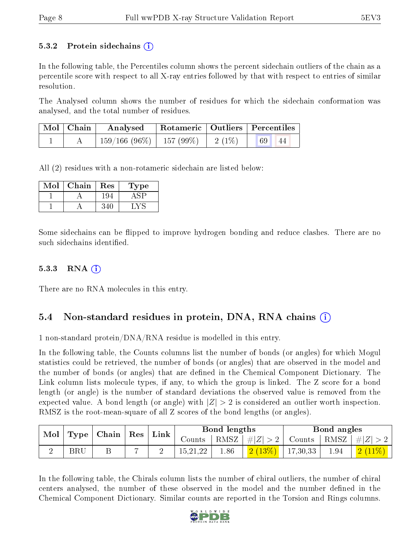#### 5.3.2 Protein sidechains  $\left( \mathbf{r} \right)$

In the following table, the Percentiles column shows the percent sidechain outliers of the chain as a percentile score with respect to all X-ray entries followed by that with respect to entries of similar resolution.

The Analysed column shows the number of residues for which the sidechain conformation was analysed, and the total number of residues.

| $\mid$ Mol $\mid$ Chain $\mid$ | Analysed   Rotameric   Outliers   Percentiles |  |    |  |
|--------------------------------|-----------------------------------------------|--|----|--|
|                                | $159/166$ (96\%)   157 (99\%)   2 (1\%)       |  | 44 |  |

All (2) residues with a non-rotameric sidechain are listed below:

| Mol | Chain | Res  | l'ype |
|-----|-------|------|-------|
|     |       | l YZ |       |
|     |       |      |       |

Some sidechains can be flipped to improve hydrogen bonding and reduce clashes. There are no such sidechains identified.

### $5.3.3$  RNA  $(i)$

There are no RNA molecules in this entry.

## 5.4 Non-standard residues in protein, DNA, RNA chains (i)

1 non-standard protein/DNA/RNA residue is modelled in this entry.

In the following table, the Counts columns list the number of bonds (or angles) for which Mogul statistics could be retrieved, the number of bonds (or angles) that are observed in the model and the number of bonds (or angles) that are dened in the Chemical Component Dictionary. The Link column lists molecule types, if any, to which the group is linked. The Z score for a bond length (or angle) is the number of standard deviations the observed value is removed from the expected value. A bond length (or angle) with  $|Z| > 2$  is considered an outlier worth inspection. RMSZ is the root-mean-square of all Z scores of the bond lengths (or angles).

|  | $\mathbf{Mod}_{\mathbb{C}}$<br>$\mid$ Type $\mid$ Chain $\mid$ Res $\mid$ Link |                                                                   |  |            |      |                                   |      |                              |  |  |  |  | Bond lengths |  | Bond angles |  |
|--|--------------------------------------------------------------------------------|-------------------------------------------------------------------|--|------------|------|-----------------------------------|------|------------------------------|--|--|--|--|--------------|--|-------------|--|
|  |                                                                                | Counts   RMSZ $\mid \#  Z  > 2$   Counts   RMSZ $\mid \#  Z  > 2$ |  |            |      |                                   |      |                              |  |  |  |  |              |  |             |  |
|  | $_{\rm BRU}$                                                                   |                                                                   |  | 15, 21, 22 | 1.86 | $\frac{1}{2}$ $(13\%)$   17,30,33 | 1.94 | $\mid$ $\mid 2\ (11\%) \mid$ |  |  |  |  |              |  |             |  |

In the following table, the Chirals column lists the number of chiral outliers, the number of chiral centers analysed, the number of these observed in the model and the number defined in the Chemical Component Dictionary. Similar counts are reported in the Torsion and Rings columns.

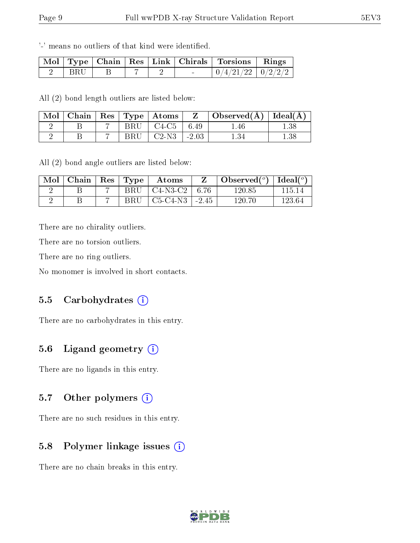'-' means no outliers of that kind were identified.

|            |  |        | Mol   Type   Chain   Res   Link   Chirals   Torsions   Rings |  |
|------------|--|--------|--------------------------------------------------------------|--|
| <b>BRU</b> |  | $\sim$ | $0/4/21/22$ $0/2/2/2$                                        |  |

All (2) bond length outliers are listed below:

|  |              | Mol   Chain   Res   Type   Atoms | $\mathbf{Z}$  | $\vert$ Observed( $\rm{A}$ ) $\vert$ Ideal( $\rm{A}$ ) $\vert$ |          |
|--|--------------|----------------------------------|---------------|----------------------------------------------------------------|----------|
|  |              | $BRU$   $C4-C5$   6.49           |               | 1.46                                                           | .38      |
|  | $_{\rm BRU}$ | $\degree$   C2-N3 .              | $\vert$ -2.03 |                                                                | $1.38\,$ |

All (2) bond angle outliers are listed below:

| Mol | Chain | Res <sub>1</sub> | Type | Atoms      |         | Observed $(°)$ | Ideal $(^\circ)$ |
|-----|-------|------------------|------|------------|---------|----------------|------------------|
|     |       |                  | BRU  | $C4-N3-C2$ | 6.76    | 120.85         | 115 14           |
|     |       |                  | BRU  | $C5-C4-N3$ | $-2.45$ | 120.70         | 123.64           |

There are no chirality outliers.

There are no torsion outliers.

There are no ring outliers.

No monomer is involved in short contacts.

#### 5.5 Carbohydrates  $(i)$

There are no carbohydrates in this entry.

### 5.6 Ligand geometry  $(i)$

There are no ligands in this entry.

### 5.7 [O](https://www.wwpdb.org/validation/2017/XrayValidationReportHelp#nonstandard_residues_and_ligands)ther polymers  $(i)$

There are no such residues in this entry.

### 5.8 Polymer linkage issues  $(i)$

There are no chain breaks in this entry.

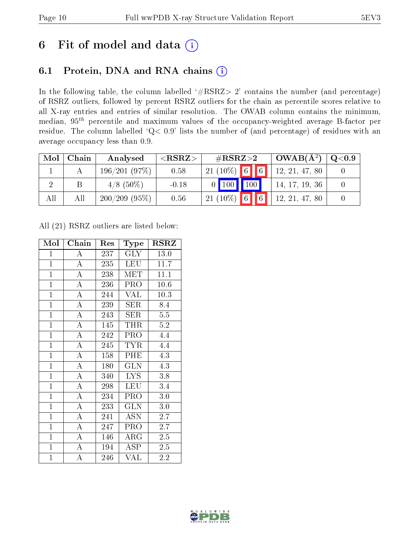# 6 Fit of model and data  $(i)$

# 6.1 Protein, DNA and RNA chains  $(i)$

In the following table, the column labelled  $#RSRZ> 2'$  contains the number (and percentage) of RSRZ outliers, followed by percent RSRZ outliers for the chain as percentile scores relative to all X-ray entries and entries of similar resolution. The OWAB column contains the minimum, median,  $95<sup>th</sup>$  percentile and maximum values of the occupancy-weighted average B-factor per residue. The column labelled ' $Q< 0.9$ ' lists the number of (and percentage) of residues with an average occupancy less than 0.9.

| Mol | Chain | Analysed        | ${ <\hspace{-1.5pt}{\mathrm{RSRZ}} \hspace{-1.5pt}>}$ | $\rm \#RSRZ{>}2$                | $OWAB(A^2)$    | $\bf Q\textcolor{black}{<}0.9$ |
|-----|-------|-----------------|-------------------------------------------------------|---------------------------------|----------------|--------------------------------|
|     |       | 196/201(97%)    | 0.58                                                  | $21(10\%)$ 6<br>$\vert 6 \vert$ | 12, 21, 47, 80 |                                |
|     |       | $4/8$ (50\%)    | $-0.18$                                               | 100<br>100                      | 14, 17, 19, 36 |                                |
| All | All   | $200/209(95\%)$ | 0.56                                                  | $\boxed{6}$<br>$21 (10\%)$ 6    | 12, 21, 47, 80 |                                |

All (21) RSRZ outliers are listed below:

| Mol            | Chain              | Res | Type        | <b>RSRZ</b> |
|----------------|--------------------|-----|-------------|-------------|
| $\mathbf{1}$   | $\overline{\rm A}$ | 237 | $\rm GLY$   | 13.0        |
| $\overline{1}$ | $\overline{\rm A}$ | 235 | <b>LEU</b>  | 11.7        |
| $\mathbf{1}$   | $\overline{A}$     | 238 | <b>MET</b>  | 11.1        |
| $\overline{1}$ | $\overline{\rm A}$ | 236 | PRO         | 10.6        |
| $\mathbf{1}$   | $\overline{A}$     | 244 | VAL         | 10.3        |
| $\overline{1}$ | $\overline{A}$     | 239 | SER         | 8.4         |
| $\overline{1}$ | $\overline{A}$     | 243 | SER         | 5.5         |
| $\overline{1}$ | $\overline{\rm A}$ | 145 | THR         | $5.2\,$     |
| $\overline{1}$ | $\overline{A}$     | 242 | PRO         | 4.4         |
| $\mathbf{1}$   | $\overline{A}$     | 245 | <b>TYR</b>  | 4.4         |
| $\mathbf{1}$   | $\overline{\rm A}$ | 158 | PHE         | 4.3         |
| $\overline{1}$ | $\overline{\rm A}$ | 180 | <b>GLN</b>  | 4.3         |
| $\overline{1}$ | $\overline{A}$     | 340 | <b>LYS</b>  | 3.8         |
| $\mathbf{1}$   | $\boldsymbol{A}$   | 298 | <b>LEU</b>  | 3.4         |
| $\overline{1}$ | $\overline{\rm A}$ | 234 | PRO         | 3.0         |
| $\overline{1}$ | $\overline{\rm A}$ | 233 | <b>GLN</b>  | 3.0         |
| $\overline{1}$ | $\overline{\rm A}$ | 241 | ASN         | 2.7         |
| $\mathbf{1}$   | $\boldsymbol{A}$   | 247 | PRO         | 2.7         |
| $\overline{1}$ | $\overline{\rm A}$ | 146 | ${\rm ARG}$ | 2.5         |
| $\overline{1}$ | $\overline{\rm A}$ | 194 | <b>ASP</b>  | 2.5         |
| $\mathbf{1}$   | A                  | 246 | VAL         | 2.2         |